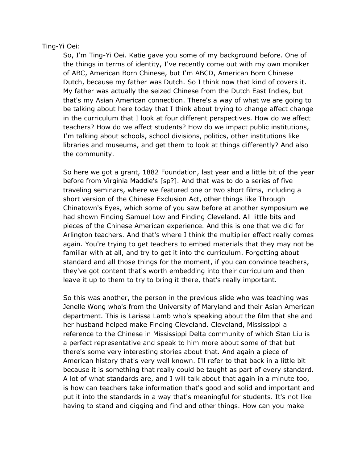## Ting-Yi Oei:

So, I'm Ting-Yi Oei. Katie gave you some of my background before. One of the things in terms of identity, I've recently come out with my own moniker of ABC, American Born Chinese, but I'm ABCD, American Born Chinese Dutch, because my father was Dutch. So I think now that kind of covers it. My father was actually the seized Chinese from the Dutch East Indies, but that's my Asian American connection. There's a way of what we are going to be talking about here today that I think about trying to change affect change in the curriculum that I look at four different perspectives. How do we affect teachers? How do we affect students? How do we impact public institutions, I'm talking about schools, school divisions, politics, other institutions like libraries and museums, and get them to look at things differently? And also the community.

So here we got a grant, 1882 Foundation, last year and a little bit of the year before from Virginia Maddie's [sp?]. And that was to do a series of five traveling seminars, where we featured one or two short films, including a short version of the Chinese Exclusion Act, other things like Through Chinatown's Eyes, which some of you saw before at another symposium we had shown Finding Samuel Low and Finding Cleveland. All little bits and pieces of the Chinese American experience. And this is one that we did for Arlington teachers. And that's where I think the multiplier effect really comes again. You're trying to get teachers to embed materials that they may not be familiar with at all, and try to get it into the curriculum. Forgetting about standard and all those things for the moment, if you can convince teachers, they've got content that's worth embedding into their curriculum and then leave it up to them to try to bring it there, that's really important.

So this was another, the person in the previous slide who was teaching was Jenelle Wong who's from the University of Maryland and their Asian American department. This is Larissa Lamb who's speaking about the film that she and her husband helped make Finding Cleveland. Cleveland, Mississippi a reference to the Chinese in Mississippi Delta community of which Stan Liu is a perfect representative and speak to him more about some of that but there's some very interesting stories about that. And again a piece of American history that's very well known. I'll refer to that back in a little bit because it is something that really could be taught as part of every standard. A lot of what standards are, and I will talk about that again in a minute too, is how can teachers take information that's good and solid and important and put it into the standards in a way that's meaningful for students. It's not like having to stand and digging and find and other things. How can you make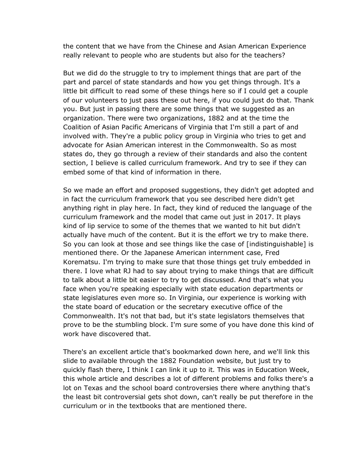the content that we have from the Chinese and Asian American Experience really relevant to people who are students but also for the teachers?

But we did do the struggle to try to implement things that are part of the part and parcel of state standards and how you get things through. It's a little bit difficult to read some of these things here so if I could get a couple of our volunteers to just pass these out here, if you could just do that. Thank you. But just in passing there are some things that we suggested as an organization. There were two organizations, 1882 and at the time the Coalition of Asian Pacific Americans of Virginia that I'm still a part of and involved with. They're a public policy group in Virginia who tries to get and advocate for Asian American interest in the Commonwealth. So as most states do, they go through a review of their standards and also the content section, I believe is called curriculum framework. And try to see if they can embed some of that kind of information in there.

So we made an effort and proposed suggestions, they didn't get adopted and in fact the curriculum framework that you see described here didn't get anything right in play here. In fact, they kind of reduced the language of the curriculum framework and the model that came out just in 2017. It plays kind of lip service to some of the themes that we wanted to hit but didn't actually have much of the content. But it is the effort we try to make there. So you can look at those and see things like the case of [indistinguishable] is mentioned there. Or the Japanese American internment case, Fred Korematsu. I'm trying to make sure that those things get truly embedded in there. I love what RJ had to say about trying to make things that are difficult to talk about a little bit easier to try to get discussed. And that's what you face when you're speaking especially with state education departments or state legislatures even more so. In Virginia, our experience is working with the state board of education or the secretary executive office of the Commonwealth. It's not that bad, but it's state legislators themselves that prove to be the stumbling block. I'm sure some of you have done this kind of work have discovered that.

There's an excellent article that's bookmarked down here, and we'll link this slide to available through the 1882 Foundation website, but just try to quickly flash there, I think I can link it up to it. This was in Education Week, this whole article and describes a lot of different problems and folks there's a lot on Texas and the school board controversies there where anything that's the least bit controversial gets shot down, can't really be put therefore in the curriculum or in the textbooks that are mentioned there.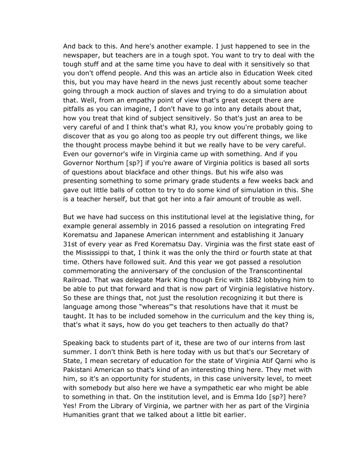And back to this. And here's another example. I just happened to see in the newspaper, but teachers are in a tough spot. You want to try to deal with the tough stuff and at the same time you have to deal with it sensitively so that you don't offend people. And this was an article also in Education Week cited this, but you may have heard in the news just recently about some teacher going through a mock auction of slaves and trying to do a simulation about that. Well, from an empathy point of view that's great except there are pitfalls as you can imagine, I don't have to go into any details about that, how you treat that kind of subject sensitively. So that's just an area to be very careful of and I think that's what RJ, you know you're probably going to discover that as you go along too as people try out different things, we like the thought process maybe behind it but we really have to be very careful. Even our governor's wife in Virginia came up with something. And if you Governor Northum [sp?] if you're aware of Virginia politics is based all sorts of questions about blackface and other things. But his wife also was presenting something to some primary grade students a few weeks back and gave out little balls of cotton to try to do some kind of simulation in this. She is a teacher herself, but that got her into a fair amount of trouble as well.

But we have had success on this institutional level at the legislative thing, for example general assembly in 2016 passed a resolution on integrating Fred Korematsu and Japanese American internment and establishing it January 31st of every year as Fred Korematsu Day. Virginia was the first state east of the Mississippi to that, I think it was the only the third or fourth state at that time. Others have followed suit. And this year we got passed a resolution commemorating the anniversary of the conclusion of the Transcontinental Railroad. That was delegate Mark King though Eric with 1882 lobbying him to be able to put that forward and that is now part of Virginia legislative history. So these are things that, not just the resolution recognizing it but there is language among those "whereas"'s that resolutions have that it must be taught. It has to be included somehow in the curriculum and the key thing is, that's what it says, how do you get teachers to then actually do that?

Speaking back to students part of it, these are two of our interns from last summer. I don't think Beth is here today with us but that's our Secretary of State, I mean secretary of education for the state of Virginia Atif Qarni who is Pakistani American so that's kind of an interesting thing here. They met with him, so it's an opportunity for students, in this case university level, to meet with somebody but also here we have a sympathetic ear who might be able to something in that. On the institution level, and is Emma Ido [sp?] here? Yes! From the Library of Virginia, we partner with her as part of the Virginia Humanities grant that we talked about a little bit earlier.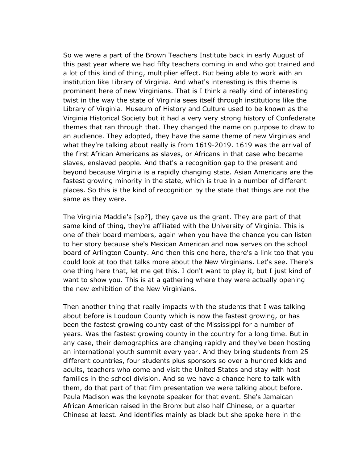So we were a part of the Brown Teachers Institute back in early August of this past year where we had fifty teachers coming in and who got trained and a lot of this kind of thing, multiplier effect. But being able to work with an institution like Library of Virginia. And what's interesting is this theme is prominent here of new Virginians. That is I think a really kind of interesting twist in the way the state of Virginia sees itself through institutions like the Library of Virginia. Museum of History and Culture used to be known as the Virginia Historical Society but it had a very very strong history of Confederate themes that ran through that. They changed the name on purpose to draw to an audience. They adopted, they have the same theme of new Virginias and what they're talking about really is from 1619-2019. 1619 was the arrival of the first African Americans as slaves, or Africans in that case who became slaves, enslaved people. And that's a recognition gap to the present and beyond because Virginia is a rapidly changing state. Asian Americans are the fastest growing minority in the state, which is true in a number of different places. So this is the kind of recognition by the state that things are not the same as they were.

The Virginia Maddie's [sp?], they gave us the grant. They are part of that same kind of thing, they're affiliated with the University of Virginia. This is one of their board members, again when you have the chance you can listen to her story because she's Mexican American and now serves on the school board of Arlington County. And then this one here, there's a link too that you could look at too that talks more about the New Virginians. Let's see. There's one thing here that, let me get this. I don't want to play it, but I just kind of want to show you. This is at a gathering where they were actually opening the new exhibition of the New Virginians.

Then another thing that really impacts with the students that I was talking about before is Loudoun County which is now the fastest growing, or has been the fastest growing county east of the Mississippi for a number of years. Was the fastest growing county in the country for a long time. But in any case, their demographics are changing rapidly and they've been hosting an international youth summit every year. And they bring students from 25 different countries, four students plus sponsors so over a hundred kids and adults, teachers who come and visit the United States and stay with host families in the school division. And so we have a chance here to talk with them, do that part of that film presentation we were talking about before. Paula Madison was the keynote speaker for that event. She's Jamaican African American raised in the Bronx but also half Chinese, or a quarter Chinese at least. And identifies mainly as black but she spoke here in the